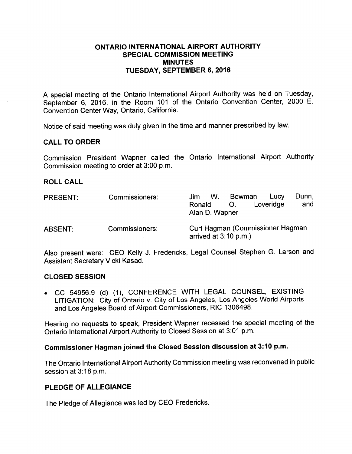### ONTARIO INTERNATIONAL AIRPORT AUTHORITY SPECIAL COMMISSION MEETING MINUTES TUESDAY, SEPTEMBER 6, 2016

A special meeting of the Ontario International Airport Authority was held on Tuesday, September 6, 2016, in the Room 101 of the Ontario Convention Center, 2000 E. Convention Center Way, Ontario, California.

Notice of said meeting was duly given in the time and manner prescribed by law.

### CALL TO ORDER

Commission President Wapner called the Ontario International Airport Authority Commission meeting to order at 3:00 p.m.

#### ROLL CALL

| <b>PRESENT:</b> | Commissioners: | Jim<br>Ronald<br>Alan D. Wapner                             | W. | Bowman,<br>$\mathcal{O}$ . | Lucy<br>Loveridge | Dunn,<br>and |
|-----------------|----------------|-------------------------------------------------------------|----|----------------------------|-------------------|--------------|
| <b>ABSENT:</b>  | Commissioners: | Curt Hagman (Commissioner Hagman<br>arrived at $3:10$ p.m.) |    |                            |                   |              |

Also present were: CEO Kelly J. Fredericks, Legal Counsel Stephen G. Larson and Assistant Secretary Vicki Kasad.

#### CLOSED SESSION

• GC 54956.9 (d) (1), CONFERENCE WITH LEGAL COUNSEL, EXISTING LITIGATION: City of Ontario v. City of Los Angeles, Los Angeles World Airports and Los Angeles Board of Airport Commissioners, RIC 1306498.

Hearing no requests to speak, President Wapner recessed the special meeting of the Ontario International Airport Authority to Closed Session at 3:01 p.m.

# Commissioner Hagman joined the Closed Session discussion at 3: 10 p.m.

The Ontario International Airport Authority Commission meeting was reconvened in public session at 3:18 p.m.

### PLEDGE OF ALLEGIANCE

The Pledge of Allegiance was led by CEO Fredericks.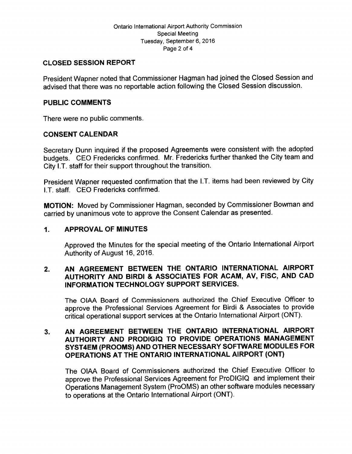## CLOSED SESSION REPORT

President Wapner noted that Commissioner Hagman had joined the Closed Session and advised that there was no reportable action following the Closed Session discussion.

## PUBLIC COMMENTS

There were no public comments.

# CONSENT CALENDAR

Secretary Dunn inquired if the proposed Agreements were consistent with the adopted budgets. CEO Fredericks confirmed. Mr. Fredericks further thanked the City team and City I.T. staff for their support throughout the transition.

President Wapner requested confirmation that the I.T. items had been reviewed by City I.T. staff. CEO Fredericks confirmed.

MOTION: Moved by Commissioner Hagman, seconded by Commissioner Bowman and carried by unanimous vote to approve the Consent Calendar as presented.

# 1. APPROVAL OF MINUTES

Approved the Minutes for the special meeting of the Ontario International Airport Authority of August 16, 2016.

# 2. AN AGREEMENT BETWEEN THE ONTARIO INTERNATIONAL AIRPORT AUTHORITY AND BIRDI & ASSOCIATES FOR ACAM, AV, FISC, AND CAD INFORMATION TECHNOLOGY SUPPORT SERVICES.

The OIAA Board of Commissioners authorized the Chief Executive Officer to approve the Professional Services Agreement for Birdi & Associates to provide critical operational support services at the Ontario International Airport (ONT).

## 3. AN AGREEMENT BETWEEN THE ONTARIO INTERNATIONAL AIRPORT AUTHORRTY AND PRODIGIQ TO PROVIDE OPERATIONS MANAGEMENT SYST4EM (PROOMS) AND OTHER NECESSARY SOFTWARE MODULES FOR OPERATIONS AT THE ONTARIO INTERNATIONAL AIRPORT (ONT)

The OIAA Board of Commissioners authorized the Chief Executive Officer to approve the Professional Services Agreement for ProDIGIQ and implement their Operations Management System (ProOMS) an other software modules necessary to operations at the Ontario International Airport (ONT).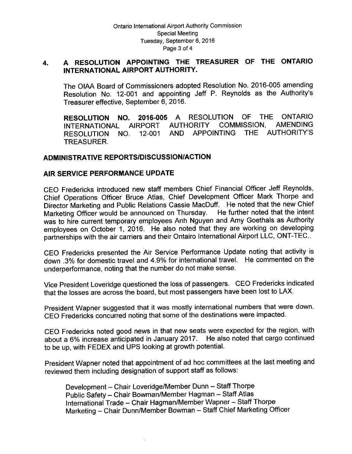# 4. A RESOLUTION APPOINTING THE TREASURER OF THE ONTARIO INTERNATIONAL AIRPORT AUTHORITY.

The OIAA Board of Commissioners adopted Resolution No. 2016-005 amending Resolution No. 12-001 and appointing Jeff P. Reynolds as the Authority's Treasurer effective, September 6, 2016.

RESOLUTION NO. 2016-005 A RESOLUTION OF THE ONTARIO<br>INTERNATIONAL AIRPORT AUTHORITY COMMISSION, AMENDING INTERNATIONAL AIRPORT AUTHORITY RESOLUTION NO. 12-001 AND APPOINTING THE AUTHORITY'S TREASURER.

### ADMINISTRATIVE REPORTS/DISCUSSION/ACTION

### AIR SERVICE PERFORMANCE UPDATE

CEO Fredericks introduced new staff members Chief Financial Officer Jeff Reynolds, Chief Operations Officer Bruce Atlas, Chief Development Officer Mark Thorpe and Director Marketing and Public Relations Cassie MacDuff. He noted that the new Chief Marketing Officer would be announced on Thursday. He further noted that the intent Marketing Officer would be announced on Thursday. was to hire current temporary employees Anh Nguyen and Amy Goethals as Authority employees on October 1, 2016. He also noted that they are working on developing partnerships with the air carriers and their Ontairo International Airport LLC, ONT-TEC..

CEO Fredericks presented the Air Service Performance Update noting that activity is down . 3% for domestic travel and 4.9% for international travel. He commented on the underperformance, noting that the number do not make sense.

Vice President Loveridge questioned the loss of passengers. CEO Fredericks indicated that the losses are across the board, but most passengers have been lost to LAX.

President Wapner suggested that it was mostly international numbers that were down. CEO Fredericks concurred noting that some of the destinations were impacted.

CEO Fredericks noted good news in that new seats were expected for the region, with about <sup>a</sup> 6% increase anticipated in January 2017. He also noted that cargo continued to be up, with FEDEX and UPS looking at growth potential.

President Wapner noted that appointment of ad hoc committees at the last meeting and reviewed them including designation of support staff as follows:

Development - Chair Loveridge/Member Dunn - Staff Thorpe Public Safety - Chair Bowman/Member Hagman - Staff Atlas International Trade — Chair Hagman/ Member Wapner— Staff Thorpe Marketing — Chair Dunn/ Member Bowman — Staff Chief Marketing Officer